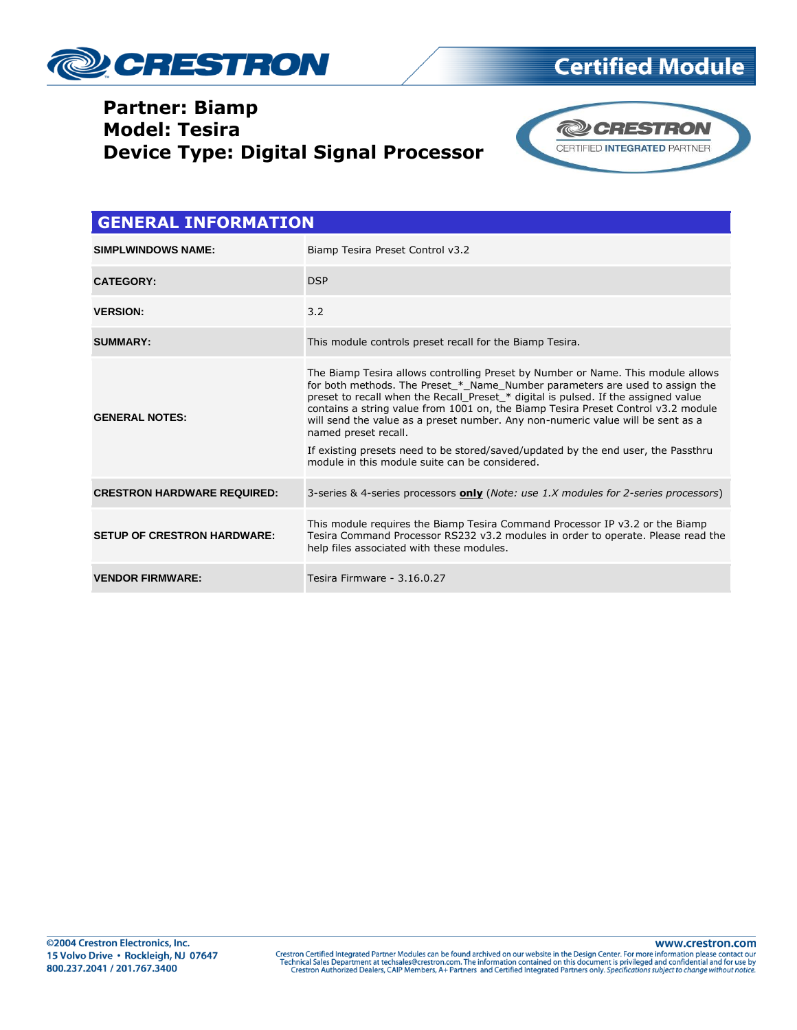

### **Partner: Biamp Model: Tesira Device Type: Digital Signal Processor**



| <b>GENERAL INFORMATION</b>         |                                                                                                                                                                                                                                                                                                                                                                                                                                                                                                                                                                                               |
|------------------------------------|-----------------------------------------------------------------------------------------------------------------------------------------------------------------------------------------------------------------------------------------------------------------------------------------------------------------------------------------------------------------------------------------------------------------------------------------------------------------------------------------------------------------------------------------------------------------------------------------------|
| <b>SIMPLWINDOWS NAME:</b>          | Biamp Tesira Preset Control v3.2                                                                                                                                                                                                                                                                                                                                                                                                                                                                                                                                                              |
| <b>CATEGORY:</b>                   | <b>DSP</b>                                                                                                                                                                                                                                                                                                                                                                                                                                                                                                                                                                                    |
| <b>VERSION:</b>                    | 3.2                                                                                                                                                                                                                                                                                                                                                                                                                                                                                                                                                                                           |
| <b>SUMMARY:</b>                    | This module controls preset recall for the Biamp Tesira.                                                                                                                                                                                                                                                                                                                                                                                                                                                                                                                                      |
| <b>GENERAL NOTES:</b>              | The Biamp Tesira allows controlling Preset by Number or Name. This module allows<br>for both methods. The Preset * Name Number parameters are used to assign the<br>preset to recall when the Recall Preset * digital is pulsed. If the assigned value<br>contains a string value from 1001 on, the Biamp Tesira Preset Control v3.2 module<br>will send the value as a preset number. Any non-numeric value will be sent as a<br>named preset recall.<br>If existing presets need to be stored/saved/updated by the end user, the Passthru<br>module in this module suite can be considered. |
| <b>CRESTRON HARDWARE REQUIRED:</b> | 3-series & 4-series processors only (Note: use 1.X modules for 2-series processors)                                                                                                                                                                                                                                                                                                                                                                                                                                                                                                           |
| <b>SETUP OF CRESTRON HARDWARE:</b> | This module requires the Biamp Tesira Command Processor IP v3.2 or the Biamp<br>Tesira Command Processor RS232 v3.2 modules in order to operate. Please read the<br>help files associated with these modules.                                                                                                                                                                                                                                                                                                                                                                                 |
| <b>VENDOR FIRMWARE:</b>            | Tesira Firmware - 3.16.0.27                                                                                                                                                                                                                                                                                                                                                                                                                                                                                                                                                                   |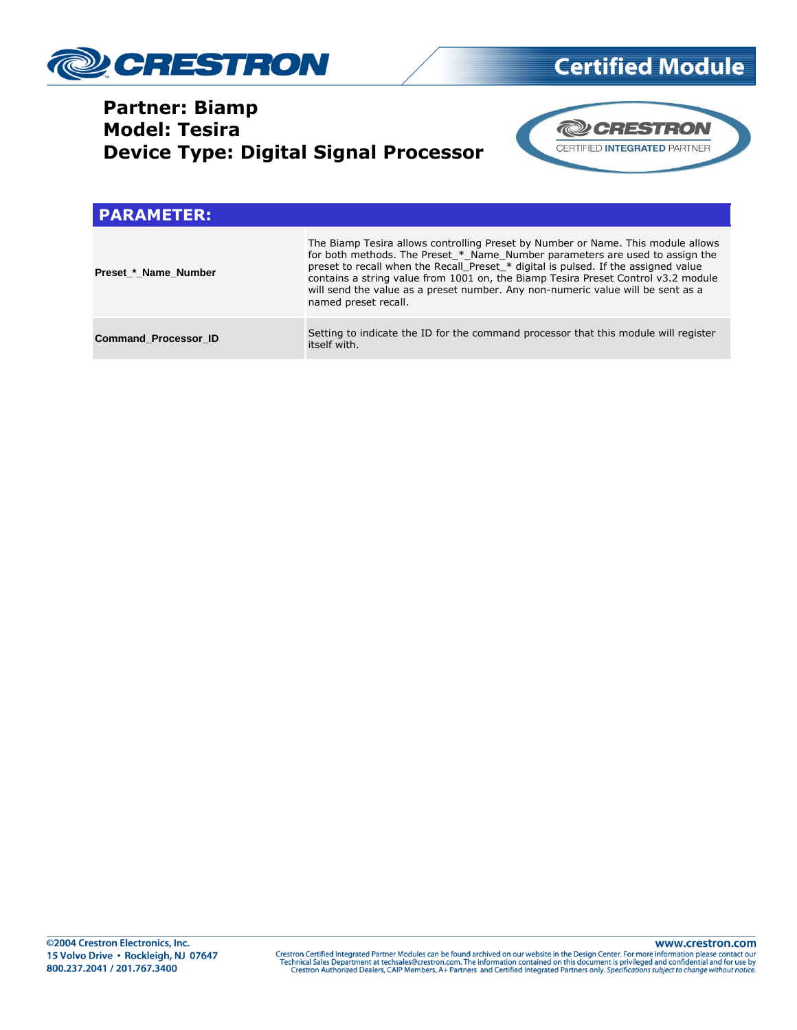

### **Partner: Biamp Model: Tesira Device Type: Digital Signal Processor**



**Certified Module** 

| <b>PARAMETER:</b>           |                                                                                                                                                                                                                                                                                                                                                                                                                                                        |
|-----------------------------|--------------------------------------------------------------------------------------------------------------------------------------------------------------------------------------------------------------------------------------------------------------------------------------------------------------------------------------------------------------------------------------------------------------------------------------------------------|
| Preset * Name Number        | The Biamp Tesira allows controlling Preset by Number or Name. This module allows<br>for both methods. The Preset_*_Name_Number parameters are used to assign the<br>preset to recall when the Recall Preset * digital is pulsed. If the assigned value<br>contains a string value from 1001 on, the Biamp Tesira Preset Control v3.2 module<br>will send the value as a preset number. Any non-numeric value will be sent as a<br>named preset recall. |
| <b>Command Processor ID</b> | Setting to indicate the ID for the command processor that this module will register<br>itself with.                                                                                                                                                                                                                                                                                                                                                    |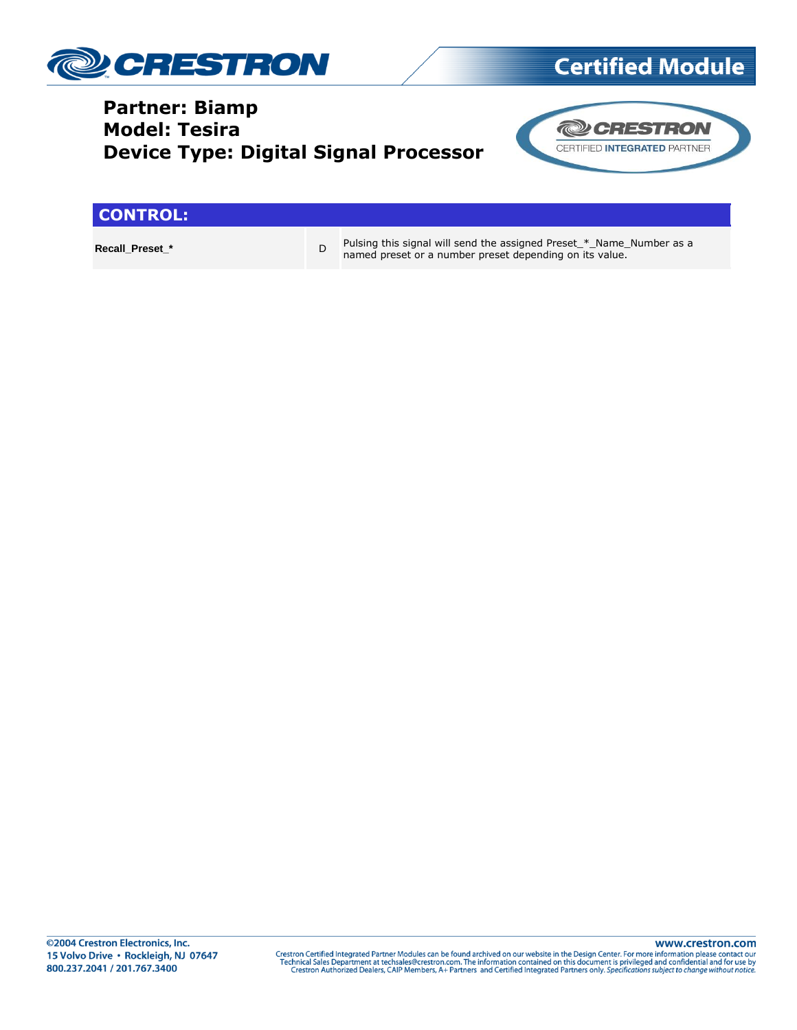

### **Partner: Biamp Model: Tesira Device Type: Digital Signal Processor**



#### **CONTROL:**

**Recall\_Preset\_\*** D

Pulsing this signal will send the assigned Preset\_\*\_Name\_Number as a named preset or a number preset depending on its value.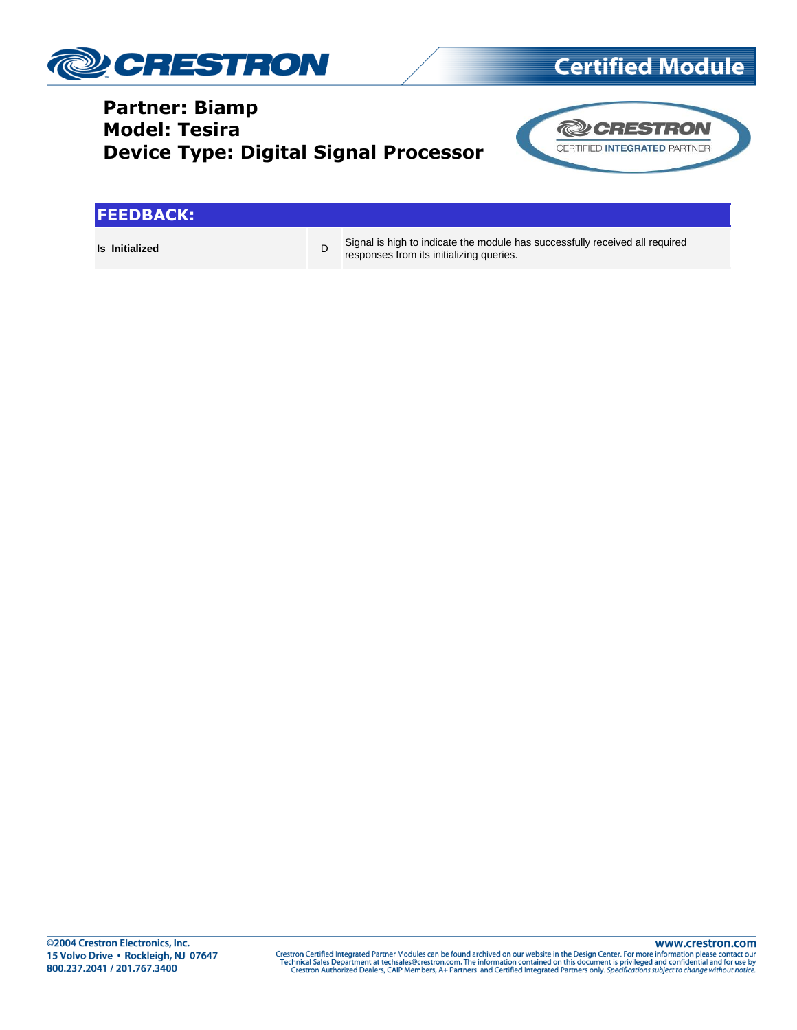

### **Partner: Biamp Model: Tesira Device Type: Digital Signal Processor**



#### **FEEDBACK:**

**Is\_Initialized** D

Signal is high to indicate the module has successfully received all required responses from its initializing queries.